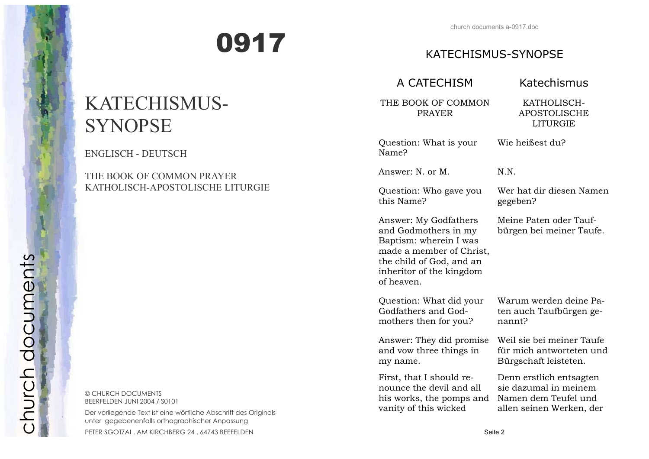# 0917

| <b>KATECHISMUS-SYNOPSE</b>                                                                                                                                                |                                                                                                      |  |  |  |
|---------------------------------------------------------------------------------------------------------------------------------------------------------------------------|------------------------------------------------------------------------------------------------------|--|--|--|
| A CATECHISM                                                                                                                                                               | Katechismus                                                                                          |  |  |  |
| THE BOOK OF COMMON<br><b>PRAYER</b>                                                                                                                                       | KATHOLISCH-<br><b>APOSTOLISCHE</b><br><b>LITURGIE</b>                                                |  |  |  |
| Question: What is your<br>Name?                                                                                                                                           | Wie heißest du?                                                                                      |  |  |  |
| Answer: N. or M.                                                                                                                                                          | N.N.                                                                                                 |  |  |  |
| Question: Who gave you<br>this Name?                                                                                                                                      | Wer hat dir diesen Namen<br>gegeben?                                                                 |  |  |  |
| Answer: My Godfathers<br>and Godmothers in my<br>Baptism: wherein I was<br>made a member of Christ,<br>the child of God, and an<br>inheritor of the kingdom<br>of heaven. | Meine Paten oder Tauf-<br>bürgen bei meiner Taufe.                                                   |  |  |  |
| Question: What did your<br>Godfathers and God-<br>mothers then for you?                                                                                                   | Warum werden deine Pa-<br>ten auch Taufbürgen ge-<br>nannt?                                          |  |  |  |
| Answer: They did promise<br>and vow three things in<br>my name.                                                                                                           | Weil sie bei meiner Taufe<br>für mich antworteten und<br>Bürgschaft leisteten.                       |  |  |  |
| First, that I should re-<br>nounce the devil and all<br>his works, the pomps and<br>vanity of this wicked                                                                 | Denn erstlich entsagten<br>sie dazumal in meinem<br>Namen dem Teufel und<br>allen seinen Werken, der |  |  |  |
| Seite 2                                                                                                                                                                   |                                                                                                      |  |  |  |

# KATECHISMUS-SYNOPSE

ENGLISCH - DEUTSCH

## THE BOOK OF COMMON PRAYER KATHOLISCH-APOSTOLISCHE LITURGIE

© CHURCH DOCUMENTS BEERFELDEN JUNI 2004 / S0101

Der vorliegende Text ist eine wörtliche Abschrift des Originals unter gegebenenfalls orthographischer Anpassung

PETER SGOTZAI . AM KIRCHBERG 24 . 64743 BEEFELDEN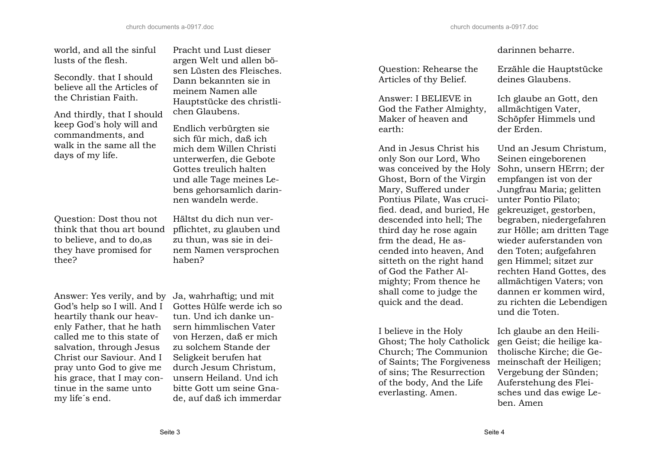world, and all the sinful lusts of the flesh.

Secondly. that I should believe all the Articles of the Christian Faith.

And thirdly, that I should keep God's holy will and commandments, and walk in the same all the days of my life.

Question: Dost thou not think that thou art bound to believe, and to do,as they have promised for thee?

Answer: Yes verily, and by Ja, wahrhaftig; und mit God's help so I will. And I heartily thank our heavenly Father, that he hath called me to this state of salvation, through Jesus Christ our Saviour. And I pray unto God to give me his grace, that I may continue in the same unto my life´s end.

Pracht und Lust dieser argen Welt und allen bösen Lüsten des Fleisches. Dann bekannten sie in meinem Namen alle Hauptstücke des christlichen Glaubens.

Endlich verbürgten sie sich für mich, daß ich mich dem Willen Christi unterwerfen, die Gebote Gottes treulich halten und alle Tage meines Lebens gehorsamlich darinnen wandeln werde.

Hältst du dich nun verpflichtet, zu glauben und zu thun, was sie in deinem Namen versprochen haben?

Gottes Hülfe werde ich so tun. Und ich danke unsern himmlischen Vater von Herzen, daß er mich zu solchem Stande der Seligkeit berufen hat durch Jesum Christum, unsern Heiland. Und ich bitte Gott um seine Gnade, auf daß ich immerdar

#### darinnen beharre.

Question: Rehearse the Articles of thy Belief.

Answer: I BELIEVE in God the Father Almighty, Maker of heaven and earth:

And in Jesus Christ his only Son our Lord, Who was conceived by the Holy Ghost, Born of the Virgin Mary, Suffered under Pontius Pilate, Was crucified. dead, and buried, He descended into hell; The third day he rose again frm the dead, He ascended into heaven, And sitteth on the right hand of God the Father Almighty; From thence he shall come to judge the quick and the dead.

I believe in the Holy Ghost; The holy Catholick Church; The Communion of Saints; The Forgiveness of sins; The Resurrection of the body, And the Life everlasting. Amen.

Erzähle die Hauptstücke deines Glaubens.

Ich glaube an Gott, den allmächtigen Vater, Schöpfer Himmels und der Erden.

Und an Jesum Christum, Seinen eingeborenen Sohn, unsern HErrn; der empfangen ist von der Jungfrau Maria; gelitten unter Pontio Pilato; gekreuziget, gestorben, begraben, niedergefahren zur Hölle; am dritten Tage wieder auferstanden von den Toten; aufgefahren gen Himmel; sitzet zur rechten Hand Gottes, des allmächtigen Vaters; von dannen er kommen wird, zu richten die Lebendigen und die Toten.

Ich glaube an den Heiligen Geist; die heilige katholische Kirche; die Gemeinschaft der Heiligen; Vergebung der Sünden; Auferstehung des Fleisches und das ewige Leben. Amen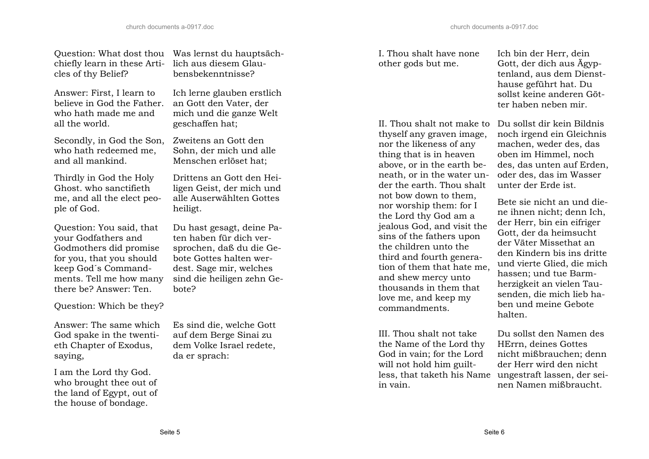Question: What dost thou Was lernst du hauptsächchiefly learn in these Articles of thy Belief?

Answer: First, I learn to believe in God the Father. who hath made me and all the world.

Secondly, in God the Son, who hath redeemed me, and all mankind.

Thirdly in God the Holy Ghost. who sanctifieth me, and all the elect people of God.

Question: You said, that your Godfathers and Godmothers did promise for you, that you should keep God´s Commandments. Tell me how many there be? Answer: Ten.

Question: Which be they?

Answer: The same which God spake in the twentieth Chapter of Exodus, saying,

I am the Lord thy God. who brought thee out of the land of Egypt, out of the house of bondage.

lich aus diesem Glaubensbekenntnisse?

Ich lerne glauben erstlich an Gott den Vater, der mich und die ganze Welt geschaffen hat;

Zweitens an Gott den Sohn, der mich und alle Menschen erlöset hat;

Drittens an Gott den Heiligen Geist, der mich und alle Auserwählten Gottes heiligt.

Du hast gesagt, deine Paten haben für dich versprochen, daß du die Gebote Gottes halten werdest. Sage mir, welches sind die heiligen zehn Gebote?

Es sind die, welche Gott auf dem Berge Sinai zu dem Volke Israel redete, da er sprach:

I. Thou shalt have none other gods but me.

II. Thou shalt not make to Du sollst dir kein Bildnis thyself any graven image, nor the likeness of any thing that is in heaven above, or in the earth beneath, or in the water under the earth. Thou shalt not bow down to them, nor worship them: for I the Lord thy God am a jealous God, and visit the sins of the fathers upon the children unto the third and fourth generation of them that hate me, and shew mercy unto thousands in them that love me, and keep my commandments.

III. Thou shalt not take the Name of the Lord thy God in vain; for the Lord will not hold him guiltin vain.

Ich bin der Herr, dein Gott, der dich aus Ägyptenland, aus dem Diensthause geführt hat. Du sollst keine anderen Götter haben neben mir.

noch irgend ein Gleichnis machen, weder des, das oben im Himmel, noch des, das unten auf Erden, oder des, das im Wasser unter der Erde ist.

Bete sie nicht an und diene ihnen nicht; denn Ich, der Herr, bin ein eifriger Gott, der da heimsucht der Väter Missethat an den Kindern bis ins dritte und vierte Glied, die mich hassen; und tue Barmherzigkeit an vielen Tausenden, die mich lieb haben und meine Gebote halten.

less, that taketh his Name ungestraft lassen, der sei-Du sollst den Namen des HErrn, deines Gottes nicht mißbrauchen; denn der Herr wird den nicht nen Namen mißbraucht.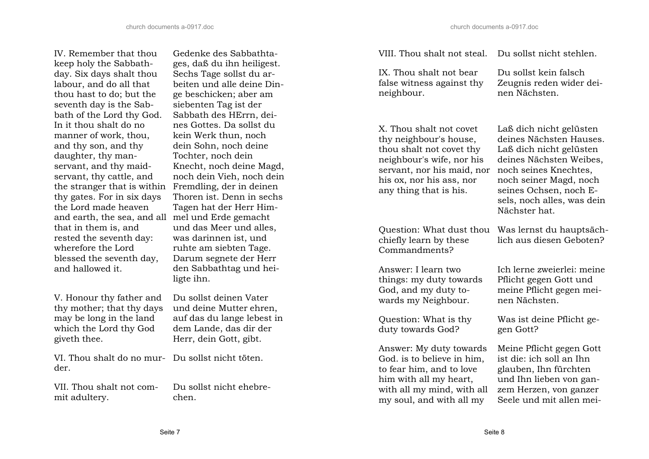Gedenke des Sabbathtages, daß du ihn heiligest. Sechs Tage sollst du arbeiten und alle deine Dinge beschicken; aber am siebenten Tag ist der Sabbath des HErrn, deines Gottes. Da sollst du kein Werk thun, noch dein Sohn, noch deine Tochter, noch dein

Knecht, noch deine Magd, noch dein Vieh, noch dein Fremdling, der in deinen Thoren ist. Denn in sechs Tagen hat der Herr Himmel und Erde gemacht und das Meer und alles, was darinnen ist, und ruhte am siebten Tage. Darum segnete der Herr den Sabbathtag und hei-

IV. Remember that thou keep holy the Sabbathday. Six days shalt thou labour, and do all that thou hast to do; but the seventh day is the Sabbath of the Lord thy God. In it thou shalt do no manner of work, thou, and thy son, and thy daughter, thy manservant, and thy maidservant, thy cattle, and the stranger that is within thy gates. For in six days the Lord made heaven and earth, the sea, and all that in them is, and rested the seventh day: wherefore the Lord blessed the seventh day, and hallowed it.

V. Honour thy father and thy mother; that thy days may be long in the land which the Lord thy God giveth thee.

VI. Thou shalt do no mur-der. Du sollst nicht töten.

VII. Thou shalt not com-mit adultery. Du sollst nicht ehebre- chen.

IX. Thou shalt not bear false witness against thy neighbour.

Du sollst kein falsch Zeugnis reden wider deinen Nächsten.

X. Thou shalt not covet thy neighbour's house, thou shalt not covet thy neighbour's wife, nor his servant, nor his maid, nor his ox, nor his ass, nor any thing that is his.

chiefly learn by these Commandments?

Answer: I learn two things: my duty towards God, and my duty towards my Neighbour.

Question: What is thy duty towards God?

Answer: My duty towards God. is to believe in him, to fear him, and to love him with all my heart, with all my mind, with all my soul, and with all my

Laß dich nicht gelüsten deines Nächsten Hauses. Laß dich nicht gelüsten deines Nächsten Weibes, noch seines Knechtes, noch seiner Magd, noch seines Ochsen, noch Esels, noch alles, was dein Nächster hat.

Question: What dust thou Was lernst du hauptsächlich aus diesen Geboten?

> Ich lerne zweierlei: meine Pflicht gegen Gott und meine Pflicht gegen meinen Nächsten.

Was ist deine Pflicht gegen Gott?

Meine Pflicht gegen Gott ist die: ich soll an Ihn glauben, Ihn fürchten und Ihn lieben von ganzem Herzen, von ganzer Seele und mit allen mei-

ligte ihn.

Du sollst deinen Vater und deine Mutter ehren, auf das du lange lebest in dem Lande, das dir der Herr, dein Gott, gibt.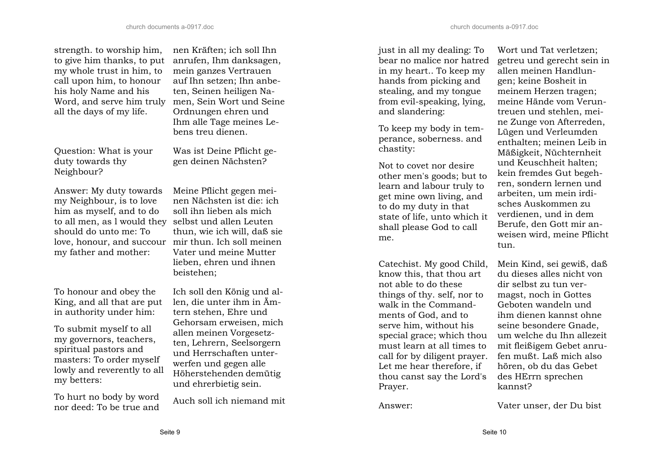strength. to worship him, to give him thanks, to put my whole trust in him, to call upon him, to honour his holy Name and his Word, and serve him truly all the days of my life.

Question: What is your duty towards thy Neighbour?

Answer: My duty towards my Neighbour, is to love him as myself, and to do to all men, as l would they should do unto me: To my father and mother:

To honour and obey the King, and all that are put in authority under him:

To submit myself to all my governors, teachers, spiritual pastors and masters: To order myself lowly and reverently to all my betters:

To hurt no body by word nor deed: To be true and

nen Kräften; ich soll Ihn anrufen, Ihm danksagen, mein ganzes Vertrauen auf Ihn setzen; Ihn anbeten, Seinen heiligen Namen, Sein Wort und Seine Ordnungen ehren und Ihm alle Tage meines Lebens treu dienen.

Was ist Deine Pflicht gegen deinen Nächsten?

love, honour, and succour mir thun. Ich soll meinen Meine Pflicht gegen meinen Nächsten ist die: ich soll ihn lieben als mich selbst und allen Leuten thun, wie ich will, daß sie Vater und meine Mutter lieben, ehren und ihnen beistehen;

> Ich soll den König und allen, die unter ihm in Ämtern stehen, Ehre und Gehorsam erweisen, mich allen meinen Vorgesetzten, Lehrern, Seelsorgern und Herrschaften unterwerfen und gegen alle Höherstehenden demütig und ehrerbietig sein.

Auch soll ich niemand mit

just in all my dealing: To bear no malice nor hatred in my heart.. To keep my hands from picking and stealing, and my tongue from evil-speaking, lying, and slandering:

To keep my body in temperance, soberness. and chastity:

Not to covet nor desire other men's goods; but to learn and labour truly to get mine own living, and to do my duty in that state of life, unto which it shall please God to call me.

Catechist. My good Child, know this, that thou art not able to do these things of thy. self, nor to walk in the Commandments of God, and to serve him, without his special grace; which thou must learn at all times to call for by diligent prayer. Let me hear therefore, if thou canst say the Lord's Prayer.

Wort und Tat verletzen; getreu und gerecht sein in allen meinen Handlungen; keine Bosheit in meinem Herzen tragen; meine Hände vom Veruntreuen und stehlen, meine Zunge von Afterreden, Lügen und Verleumden enthalten; meinen Leib in Mäßigkeit, Nüchternheit und Keuschheit halten; kein fremdes Gut begehren, sondern lernen und arbeiten, um mein irdisches Auskommen zu verdienen, und in dem Berufe, den Gott mir anweisen wird, meine Pflicht tun.

Mein Kind, sei gewiß, daß du dieses alles nicht von dir selbst zu tun vermagst, noch in Gottes Geboten wandeln und ihm dienen kannst ohne seine besondere Gnade, um welche du Ihn allezeit mit fleißigem Gebet anrufen mußt. Laß mich also hören, ob du das Gebet des HErrn sprechen kannst?

Answer: Vater unser, der Du bist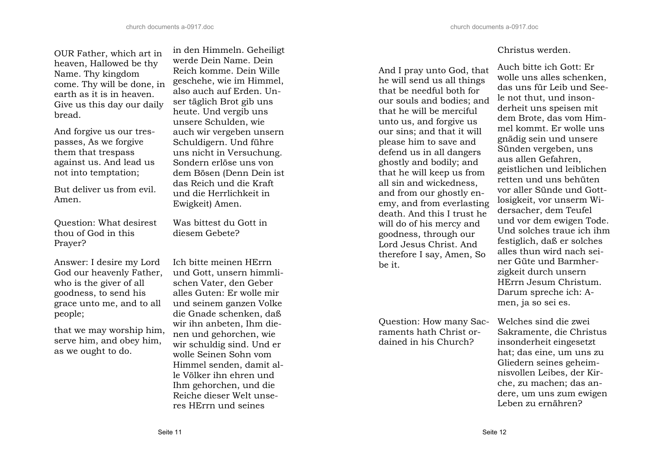OUR Father, which art in heaven, Hallowed be thy Name. Thy kingdom come. Thy will be done, in earth as it is in heaven. Give us this day our daily bread.

And forgive us our trespasses, As we forgive them that trespass against us. And lead us not into temptation;

But deliver us from evil. Amen.

Question: What desirest thou of God in this Prayer?

Answer: I desire my Lord God our heavenly Father, who is the giver of all goodness, to send his grace unto me, and to all people;

that we may worship him, serve him, and obey him, as we ought to do.

in den Himmeln. Geheiligt werde Dein Name. Dein Reich komme. Dein Wille geschehe, wie im Himmel, also auch auf Erden. Unser täglich Brot gib uns heute. Und vergib uns unsere Schulden, wie auch wir vergeben unsern Schuldigern. Und führe uns nicht in Versuchung. Sondern erlöse uns von dem Bösen (Denn Dein ist das Reich und die Kraft und die Herrlichkeit in Ewigkeit) Amen.

Was bittest du Gott in diesem Gebete?

Ich bitte meinen HErrn und Gott, unsern himmlischen Vater, den Geber alles Guten: Er wolle mir und seinem ganzen Volke die Gnade schenken, daß wir ihn anbeten, Ihm dienen und gehorchen, wie wir schuldig sind. Und er wolle Seinen Sohn vom Himmel senden, damit alle Völker ihn ehren und Ihm gehorchen, und die Reiche dieser Welt unseres HErrn und seines

And I pray unto God, that he will send us all things that be needful both for our souls and bodies; and that he will be merciful unto us, and forgive us our sins; and that it will please him to save and defend us in all dangers ghostly and bodily; and that he will keep us from all sin and wickedness, and from our ghostly enemy, and from everlasting death. And this I trust he will do of his mercy and goodness, through our Lord Jesus Christ. And therefore I say, Amen, So be it.

Question: How many Sacraments hath Christ or-Question: How many Sac- Welches sind die zwei<br>
raments hath Christ or- Sakramente, die Christus<br>
dained in his Church? insonderheit eingesetzt

### Christus werden.

Auch bitte ich Gott: Er wolle uns alles schenken, das uns für Leib und Seele not thut, und insonderheit uns speisen mit dem Brote, das vom Himmel kommt. Er wolle uns gnädig sein und unsere Sünden vergeben, uns aus allen Gefahren, geistlichen und leiblichen retten und uns behüten vor aller Sünde und Gottlosigkeit, vor unserm Widersacher, dem Teufel und vor dem ewigen Tode. Und solches traue ich ihm festiglich, daß er solches alles thun wird nach seiner Güte und Barmherzigkeit durch unsern HErrn Jesum Christum. Darum spreche ich: Amen, ja so sei es.

hat; das eine, um uns zu Gliedern seines geheimnisvollen Leibes, der Kirche, zu machen; das andere, um uns zum ewigen Leben zu ernähren?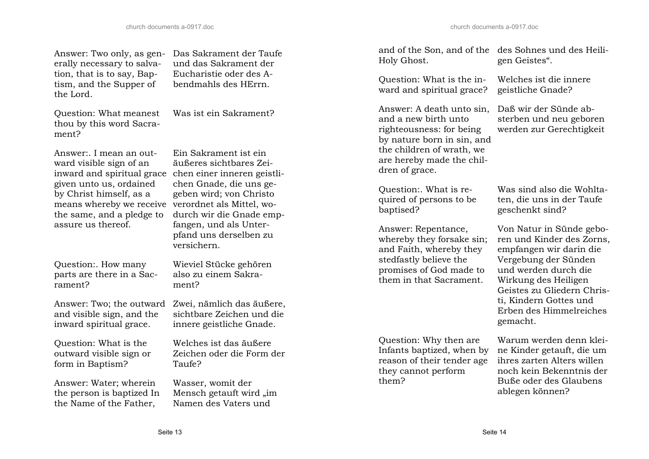Answer: Two only, as generally necessary to salvation, that is to say, Baptism, and the Supper of the Lord.

Question: What meanest thou by this word Sacrament?

Answer:. I mean an outward visible sign of an inward and spiritual grace given unto us, ordained by Christ himself, as a means whereby we receive the same, and a pledge to assure us thereof.

Das Sakrament der Taufe und das Sakrament der Eucharistie oder des Abendmahls des HErrn.

Was ist ein Sakrament?

Ein Sakrament ist ein äußeres sichtbares Zeichen einer inneren geistlichen Gnade, die uns gegeben wird; von Christo verordnet als Mittel, wodurch wir die Gnade empfangen, und als Unterpfand uns derselben zu versichern.

parts are there in a Sac-Wieviel Stücke gehören also zu einem Sakrament?

Answer: Two; the outward and visible sign, and the inward spiritual grace.

Question: What is the outward visible sign or form in Baptism?

Question:. How many

rament?

Answer: Water; wherein the person is baptized In the Name of the Father,

Zwei, nämlich das äußere, sichtbare Zeichen und die innere geistliche Gnade.

Welches ist das äußere Zeichen oder die Form der Taufe?

Wasser, womit der Mensch getauft wird "im Namen des Vaters und

Holy Ghost.

Question: What is the in-Question: What is the in-<br>welches ist die innere<br>ward and spiritual grace? geistliche Gnade?

Answer: A death unto sin, and a new birth unto righteousness: for being by nature born in sin, and the children of wrath, we are hereby made the children of grace.

Question:. What is required of persons to be baptised?

Answer: Repentance, whereby they forsake sin; and Faith, whereby they stedfastly believe the promises of God made to them in that Sacrament.

Question: Why then are Infants baptized, when by reason of their tender age they cannot perform them?

and of the Son, and of the des Sohnes und des Heiligen Geistes".

Daß wir der Sünde absterben und neu geboren werden zur Gerechtigkeit

Was sind also die Wohltaten, die uns in der Taufe geschenkt sind?

Von Natur in Sünde geboren und Kinder des Zorns, empfangen wir darin die Vergebung der Sünden und werden durch die Wirkung des Heiligen Geistes zu Gliedern Christi, Kindern Gottes und Erben des Himmelreiches gemacht.

Warum werden denn kleine Kinder getauft, die um ihres zarten Alters willen noch kein Bekenntnis der Buße oder des Glaubens ablegen können?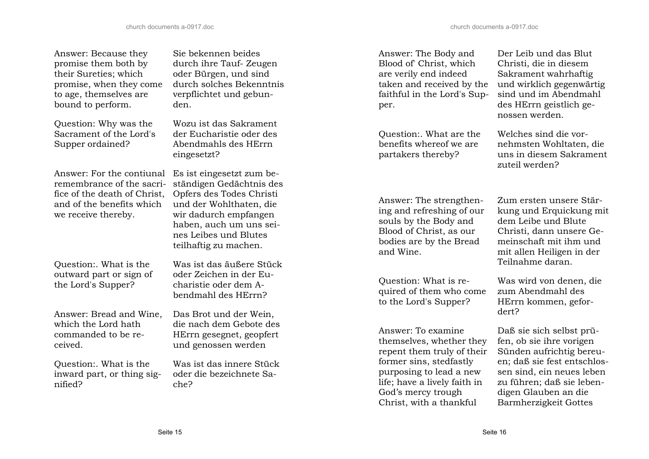| Answer: Because they<br>promise them both by<br>their Sureties; which<br>promise, when they come<br>to age, themselves are<br>bound to perform. | Sie bekennen beides<br>durch ihre Tauf- Zeugen<br>oder Bürgen, und sind<br>durch solches Bekenntnis<br>verpflichtet und gebun-<br>den.                                                                             | Answer: The Body and<br>Blood of Christ, which<br>are verily end indeed<br>taken and received by the<br>faithful in the Lord's Sup-<br>per.      | Der Leib und das Blut<br>Christi, die in diesem<br>Sakrament wahrhaftig<br>und wirklich gegenwärtig<br>sind und im Abendmahl<br>des HErrn geistlich ge-<br>nossen werden. |
|-------------------------------------------------------------------------------------------------------------------------------------------------|--------------------------------------------------------------------------------------------------------------------------------------------------------------------------------------------------------------------|--------------------------------------------------------------------------------------------------------------------------------------------------|---------------------------------------------------------------------------------------------------------------------------------------------------------------------------|
| Question: Why was the                                                                                                                           | Wozu ist das Sakrament                                                                                                                                                                                             |                                                                                                                                                  |                                                                                                                                                                           |
| Sacrament of the Lord's<br>Supper ordained?                                                                                                     | der Eucharistie oder des<br>Abendmahls des HErrn<br>eingesetzt?                                                                                                                                                    | Question:. What are the<br>benefits whereof we are<br>partakers thereby?                                                                         | Welches sind die vor-<br>nehmsten Wohltaten, die<br>uns in diesem Sakrament<br>zuteil werden?                                                                             |
| Answer: For the contiunal<br>remembrance of the sacri-<br>fice of the death of Christ,<br>and of the benefits which<br>we receive thereby.      | Es ist eingesetzt zum be-<br>ständigen Gedächtnis des<br>Opfers des Todes Christi<br>und der Wohlthaten, die<br>wir dadurch empfangen<br>haben, auch um uns sei-<br>nes Leibes und Blutes<br>teilhaftig zu machen. | Answer: The strengthen-<br>ing and refreshing of our<br>souls by the Body and<br>Blood of Christ, as our<br>bodies are by the Bread<br>and Wine. | Zum ersten unsere Stär-<br>kung und Erquickung mit<br>dem Leibe und Blute<br>Christi, dann unsere Ge-<br>meinschaft mit ihm und<br>mit allen Heiligen in der              |
| Question: What is the                                                                                                                           | Was ist das äußere Stück                                                                                                                                                                                           |                                                                                                                                                  | Teilnahme daran.                                                                                                                                                          |
| outward part or sign of<br>the Lord's Supper?                                                                                                   | oder Zeichen in der Eu-<br>charistie oder dem A-<br>bendmahl des HErrn?                                                                                                                                            | Question: What is re-<br>quired of them who come<br>to the Lord's Supper?                                                                        | Was wird von denen, die<br>zum Abendmahl des<br>HErrn kommen, gefor-                                                                                                      |
| Answer: Bread and Wine,                                                                                                                         | Das Brot und der Wein,                                                                                                                                                                                             |                                                                                                                                                  | dert?                                                                                                                                                                     |
| which the Lord hath<br>commanded to be re-<br>ceived.                                                                                           | die nach dem Gebote des<br>HErrn gesegnet, geopfert<br>und genossen werden                                                                                                                                         | Answer: To examine<br>themselves, whether they<br>repent them truly of their                                                                     | Daß sie sich selbst prü-<br>fen, ob sie ihre vorigen<br>Sünden aufrichtig bereu-                                                                                          |
| Question:. What is the<br>inward part, or thing sig-<br>nified?                                                                                 | Was ist das innere Stück<br>oder die bezeichnete Sa-<br>che?                                                                                                                                                       | former sins, stedfastly<br>purposing to lead a new<br>life; have a lively faith in<br>God's mercy trough<br>Christ, with a thankful              | en; daß sie fest entschlos-<br>sen sind, ein neues leben<br>zu führen; daß sie leben-<br>digen Glauben an die<br>Barmherzigkeit Gottes                                    |